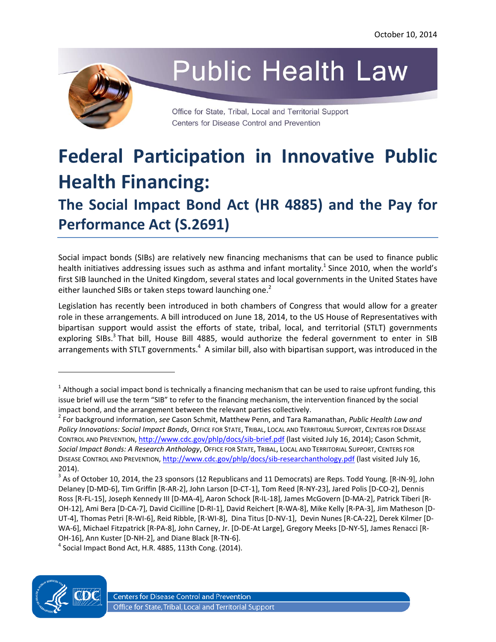

# **Public Health Law**

Office for State, Tribal, Local and Territorial Support Centers for Disease Control and Prevention

# **Federal Participation in Innovative Public Health Financing: The Social Impact Bond Act (HR 4885) and the Pay for Performance Act (S.2691)**

Social impact bonds (SIBs) are relatively new financing mechanisms that can be used to finance public health initiatives addressing issues such as asthma and infant mortality.<sup>[1](#page-0-0)</sup> Since 2010, when the world's first SIB launched in the United Kingdom, several states and local governments in the United States have either launched SIBs or taken steps toward launching one.<sup>[2](#page-0-1)</sup>

Legislation has recently been introduced in both chambers of Congress that would allow for a greater role in these arrangements. A bill introduced on June 18, 2014, to the US House of Representatives with bipartisan support would assist the efforts of state, tribal, local, and territorial (STLT) governments exploring SIBs.<sup>[3](#page-0-2)</sup> That bill, House Bill 4885, would authorize the federal government to enter in SIB arrangements with STLT governments.<sup>[4](#page-0-3)</sup> A similar bill, also with bipartisan support, was introduced in the

<span id="page-0-3"></span> $<sup>4</sup>$  Social Impact Bond Act, H.R. 4885, 113th Cong. (2014).</sup>



 $\overline{\phantom{a}}$ 

<span id="page-0-0"></span> $^1$  Although a social impact bond is technically a financing mechanism that can be used to raise upfront funding, this issue brief will use the term "SIB" to refer to the financing mechanism, the intervention financed by the social impact bond, and the arrangement between the relevant parties collectively.

<span id="page-0-1"></span><sup>2</sup> For background information, *see* Cason Schmit, Matthew Penn, and Tara Ramanathan, *Public Health Law and Policy Innovations: Social Impact Bonds*, OFFICE FOR STATE, TRIBAL, LOCAL AND TERRITORIAL SUPPORT, CENTERS FOR DISEASE CONTROL AND PREVENTION,<http://www.cdc.gov/phlp/docs/sib-brief.pdf> (last visited July 16, 2014); Cason Schmit, *Social Impact Bonds: A Research Anthology*, OFFICE FOR STATE, TRIBAL, LOCAL AND TERRITORIAL SUPPORT, CENTERS FOR DISEASE CONTROL AND PREVENTION, <http://www.cdc.gov/phlp/docs/sib-researchanthology.pdf> (last visited July 16, 2014).

<span id="page-0-2"></span> $^3$  As of October 10, 2014, the 23 sponsors (12 Republicans and 11 Democrats) are Reps. Todd Young. [R-IN-9], John Delaney [D-MD-6], Tim Griffin [R-AR-2], John Larson [D-CT-1], Tom Reed [R-NY-23], Jared Polis [D-CO-2], Dennis Ross [R-FL-15], Joseph Kennedy III [D-MA-4], Aaron Schock [R-IL-18], James McGovern [D-MA-2], Patrick Tiberi [R-OH-12], Ami Bera [D-CA-7], David Cicilline [D-RI-1], David Reichert [R-WA-8], Mike Kelly [R-PA-3], Jim Matheson [D-UT-4], Thomas Petri [R-WI-6], Reid Ribble, [R-WI-8], Dina Titus [D-NV-1], Devin Nunes [R-CA-22], Derek Kilmer [D-WA-6], Michael Fitzpatrick [R-PA-8], John Carney, Jr. [D-DE-At Large], Gregory Meeks [D-NY-5], James Renacci [R-OH-16], Ann Kuster [D-NH-2], and Diane Black [R-TN-6].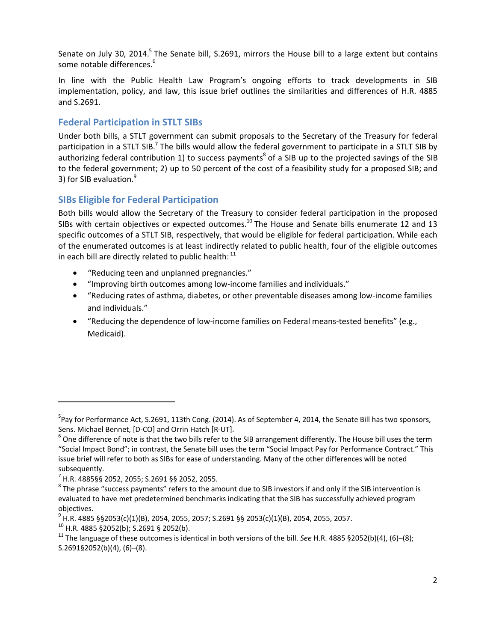Senate on July 30, 2014.<sup>[5](#page-1-0)</sup> The Senate bill, S.2691, mirrors the House bill to a large extent but contains some notable differences.<sup>[6](#page-1-1)</sup>

In line with the Public Health Law Program's ongoing efforts to track developments in SIB implementation, policy, and law, this issue brief outlines the similarities and differences of H.R. 4885 and S.2691.

# **Federal Participation in STLT SIBs**

Under both bills, a STLT government can submit proposals to the Secretary of the Treasury for federal participation in a STLT SIB.<sup>[7](#page-1-2)</sup> The bills would allow the federal government to participate in a STLT SIB by authorizing federal contribution 1) to success payments<sup>[8](#page-1-3)</sup> of a SIB up to the projected savings of the SIB to the federal government; 2) up to 50 percent of the cost of a feasibility study for a proposed SIB; and 3) for SIB evaluation.<sup>[9](#page-1-4)</sup>

# **SIBs Eligible for Federal Participation**

Both bills would allow the Secretary of the Treasury to consider federal participation in the proposed SIBs with certain objectives or expected outcomes.<sup>[10](#page-1-5)</sup> The House and Senate bills enumerate 12 and 13 specific outcomes of a STLT SIB, respectively, that would be eligible for federal participation. While each of the enumerated outcomes is at least indirectly related to public health, four of the eligible outcomes in each bill are directly related to public health:  $^{11}$  $^{11}$  $^{11}$ 

- · "Reducing teen and unplanned pregnancies."
- · "Improving birth outcomes among low-income families and individuals."
- · "Reducing rates of asthma, diabetes, or other preventable diseases among low-income families and individuals."
- · "Reducing the dependence of low-income families on Federal means-tested benefits" (e.g., Medicaid).

<span id="page-1-0"></span><sup>&</sup>lt;sup>5</sup>Pay for Performance Act, S.2691, 113th Cong. (2014). As of September 4, 2014, the Senate Bill has two sponsors, Sens. Michael Bennet, [D-CO] and Orrin Hatch [R-UT].

<span id="page-1-1"></span> $^6$  One difference of note is that the two bills refer to the SIB arrangement differently. The House bill uses the term "Social Impact Bond"; in contrast, the Senate bill uses the term "Social Impact Pay for Performance Contract." This issue brief will refer to both as SIBs for ease of understanding. Many of the other differences will be noted subsequently.

<span id="page-1-2"></span><sup>7</sup> H.R. 4885§§ 2052, 2055; S.2691 §§ 2052, 2055.

<span id="page-1-3"></span> $^8$  The phrase "success payments" refers to the amount due to SIB investors if and only if the SIB intervention is evaluated to have met predetermined benchmarks indicating that the SIB has successfully achieved program objectives.

<span id="page-1-4"></span><sup>9</sup> H.R. 4885 §§2053(c)(1)(B), 2054, 2055, 2057; S.2691 §§ 2053(c)(1)(B), 2054, 2055, 2057.

<span id="page-1-5"></span> $10$  H.R. 4885 §2052(b); S.2691 § 2052(b).

<span id="page-1-6"></span><sup>&</sup>lt;sup>11</sup> The language of these outcomes is identical in both versions of the bill. *See* H.R. 4885 §2052(b)(4), (6)–(8); S.2691§2052(b)(4), (6)–(8).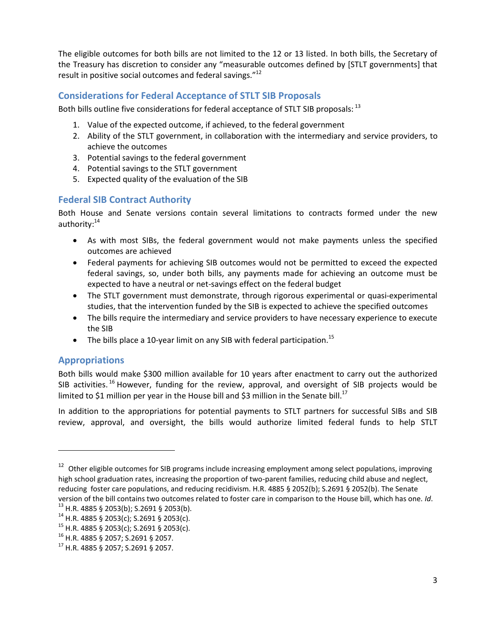The eligible outcomes for both bills are not limited to the 12 or 13 listed. In both bills, the Secretary of the Treasury has discretion to consider any "measurable outcomes defined by [STLT governments] that result in positive social outcomes and federal savings."<sup>[12](#page-2-0)</sup>

#### **Considerations for Federal Acceptance of STLT SIB Proposals**

Both bills outline five considerations for federal acceptance of STLT SIB proposals: <sup>[13](#page-2-1)</sup>

- 1. Value of the expected outcome, if achieved, to the federal government
- 2. Ability of the STLT government, in collaboration with the intermediary and service providers, to achieve the outcomes
- 3. Potential savings to the federal government
- 4. Potential savings to the STLT government
- 5. Expected quality of the evaluation of the SIB

#### **Federal SIB Contract Authority**

Both House and Senate versions contain several limitations to contracts formed under the new authority:<sup>[14](#page-2-2)</sup>

- · As with most SIBs, the federal government would not make payments unless the specified outcomes are achieved
- · Federal payments for achieving SIB outcomes would not be permitted to exceed the expected federal savings, so, under both bills, any payments made for achieving an outcome must be expected to have a neutral or net-savings effect on the federal budget
- · The STLT government must demonstrate, through rigorous experimental or quasi-experimental studies, that the intervention funded by the SIB is expected to achieve the specified outcomes
- · The bills require the intermediary and service providers to have necessary experience to execute the SIB
- The bills place a 10-year limit on any SIB with federal participation.<sup>[15](#page-2-3)</sup>

# **Appropriations**

 $\overline{\phantom{a}}$ 

Both bills would make \$300 million available for 10 years after enactment to carry out the authorized SIB activities.<sup>[16](#page-2-4)</sup> However, funding for the review, approval, and oversight of SIB projects would be limited to \$1 million per year in the House bill and \$3 million in the Senate bill.<sup>[17](#page-2-5)</sup>

In addition to the appropriations for potential payments to STLT partners for successful SIBs and SIB review, approval, and oversight, the bills would authorize limited federal funds to help STLT

<span id="page-2-0"></span><sup>&</sup>lt;sup>12</sup> Other eligible outcomes for SIB programs include increasing employment among select populations, improving high school graduation rates, increasing the proportion of two-parent families, reducing child abuse and neglect, reducing foster care populations, and reducing recidivism. H.R. 4885 § 2052(b); S.2691 § 2052(b). The Senate version of the bill contains two outcomes related to foster care in comparison to the House bill, which has one. *Id*.

<span id="page-2-1"></span><sup>13</sup> H.R. 4885 § 2053(b); S.2691 § 2053(b).

<span id="page-2-2"></span> $14$  H.R. 4885 § 2053(c); S.2691 § 2053(c).

<span id="page-2-3"></span> $^{15}$  H.R. 4885 § 2053(c); S.2691 § 2053(c).

<span id="page-2-4"></span><sup>16</sup> H.R. 4885 § 2057; S.2691 § 2057.

<span id="page-2-5"></span><sup>17</sup> H.R. 4885 § 2057; S.2691 § 2057.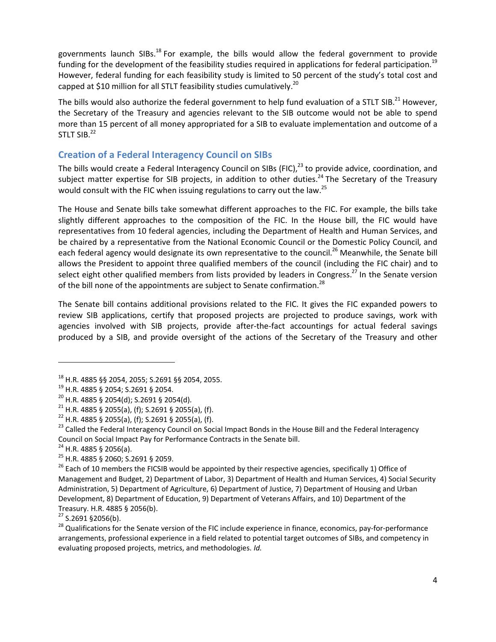governments launch SIBs.<sup>[18](#page-3-0)</sup> For example, the bills would allow the federal government to provide funding for the development of the feasibility studies required in applications for federal participation.<sup>[19](#page-3-1)</sup> However, federal funding for each feasibility study is limited to 50 percent of the study's total cost and capped at \$10 million for all STLT feasibility studies cumulatively.<sup>[20](#page-3-2)</sup>

The bills would also authorize the federal government to help fund evaluation of a STLT SIB.<sup>[21](#page-3-3)</sup> However, the Secretary of the Treasury and agencies relevant to the SIB outcome would not be able to spend more than 15 percent of all money appropriated for a SIB to evaluate implementation and outcome of a  $STLT$  SIB. $^{22}$  $^{22}$  $^{22}$ 

# **Creation of a Federal Interagency Council on SIBs**

The bills would create a Federal Interagency Council on SIBs (FIC),<sup>[23](#page-3-5)</sup> to provide advice, coordination, and subject matter expertise for SIB projects, in addition to other duties.<sup>[24](#page-3-6)</sup> The Secretary of the Treasury would consult with the FIC when issuing regulations to carry out the law.<sup>[25](#page-3-7)</sup>

The House and Senate bills take somewhat different approaches to the FIC. For example, the bills take slightly different approaches to the composition of the FIC. In the House bill, the FIC would have representatives from 10 federal agencies, including the Department of Health and Human Services, and be chaired by a representative from the National Economic Council or the Domestic Policy Council, and each federal agency would designate its own representative to the council.<sup>[26](#page-3-8)</sup> Meanwhile, the Senate bill allows the President to appoint three qualified members of the council (including the FIC chair) and to select eight other qualified members from lists provided by leaders in Congress.<sup>[27](#page-3-9)</sup> In the Senate version of the bill none of the appointments are subject to Senate confirmation.<sup>[28](#page-3-10)</sup>

The Senate bill contains additional provisions related to the FIC. It gives the FIC expanded powers to review SIB applications, certify that proposed projects are projected to produce savings, work with agencies involved with SIB projects, provide after-the-fact accountings for actual federal savings produced by a SIB, and provide oversight of the actions of the Secretary of the Treasury and other

<span id="page-3-6"></span><sup>24</sup> H.R. 4885 § 2056(a).

 $\overline{\phantom{a}}$ 

<span id="page-3-9"></span> $27$  S.2691 §2056(b).

<span id="page-3-0"></span><sup>18</sup> H.R. 4885 §§ 2054, 2055; S.2691 §§ 2054, 2055.

<span id="page-3-1"></span><sup>19</sup> H.R. 4885 § 2054; S.2691 § 2054.

<span id="page-3-2"></span> $20$  H.R. 4885 § 2054(d); S.2691 § 2054(d).

<span id="page-3-3"></span> $21$  H.R. 4885 § 2055(a), (f); S.2691 § 2055(a), (f).

<span id="page-3-4"></span> $22$  H.R. 4885 § 2055(a), (f); S.2691 § 2055(a), (f).

<span id="page-3-5"></span><sup>&</sup>lt;sup>23</sup> Called the Federal Interagency Council on Social Impact Bonds in the House Bill and the Federal Interagency Council on Social Impact Pay for Performance Contracts in the Senate bill.

<span id="page-3-7"></span><sup>25</sup> H.R. 4885 § 2060; S.2691 § 2059.

<span id="page-3-8"></span><sup>&</sup>lt;sup>26</sup> Each of 10 members the FICSIB would be appointed by their respective agencies, specifically 1) Office of Management and Budget, 2) Department of Labor, 3) Department of Health and Human Services, 4) Social Security Administration, 5) Department of Agriculture, 6) Department of Justice, 7) Department of Housing and Urban Development, 8) Department of Education, 9) Department of Veterans Affairs, and 10) Department of the Treasury. H.R. 4885 § 2056(b).

<span id="page-3-10"></span><sup>&</sup>lt;sup>28</sup> Qualifications for the Senate version of the FIC include experience in finance, economics, pay-for-performance arrangements, professional experience in a field related to potential target outcomes of SIBs, and competency in evaluating proposed projects, metrics, and methodologies. *Id.*